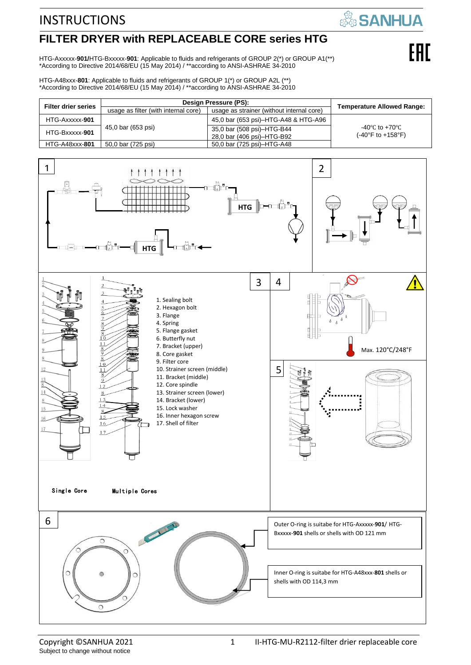# **FILTER DRYER with REPLACEABLE CORE series HTG**

HTG-Axxxxx-**901/**HTG-Bxxxxx-**901**: Applicable to fluids and refrigerants of GROUP 2(\*) or GROUP A1(\*\*) \*According to Directive 2014/68/EU (15 May 2014) / \*\*according to ANSI-ASHRAE 34-2010

HTG-A48xxx-**801**: Applicable to fluids and refrigerants of GROUP 1(\*) or GROUP A2L (\*\*) \*According to Directive 2014/68/EU (15 May 2014) / \*\*according to ANSI-ASHRAE 34-2010

| <b>Filter drier series</b> | Design Pressure (PS):                |                                           | <b>Temperature Allowed Range:</b> |  |
|----------------------------|--------------------------------------|-------------------------------------------|-----------------------------------|--|
|                            | usage as filter (with internal core) | usage as strainer (without internal core) |                                   |  |
| HTG-Axxxxx-901             | 45,0 bar (653 psi)                   | 45,0 bar (653 psi)–HTG-A48 & HTG-A96      |                                   |  |
| HTG-Bxxxxx-901             |                                      | 35,0 bar (508 psi)-HTG-B44                | -40°C to +70°C                    |  |
|                            |                                      | 28.0 bar (406 psi)-HTG-B92                | $(-40^{\circ}F to +158^{\circ}F)$ |  |
| HTG-A48xxx-801             | 50,0 bar (725 psi)                   | 50,0 bar (725 psi)-HTG-A48                |                                   |  |

**SANHUA** 

EAL

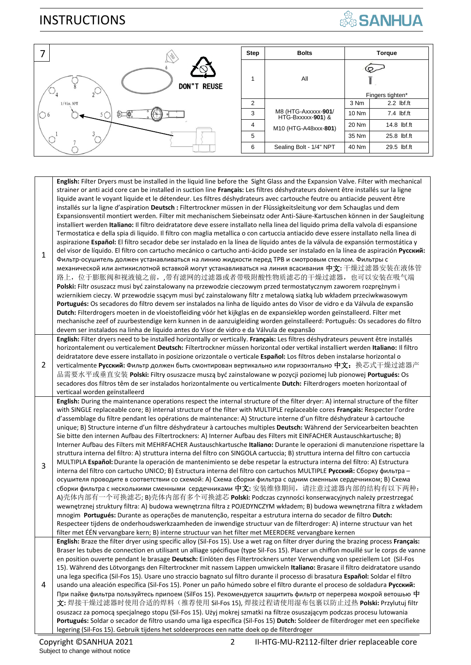

| $\sqrt{2}$         | Step           | <b>Bolts</b>                             |       | <b>Torque</b>    |
|--------------------|----------------|------------------------------------------|-------|------------------|
| <b>DON"T REUSE</b> |                | All                                      |       | Fingers tighten* |
| $1/4$ in. NPT      | 2              |                                          | 3 Nm  | $2.2$ lbf.ft     |
| $($ 6              | 3              | M8 (HTG-Axxxxx-901/<br>HTG-Bxxxxx-901) & | 10 Nm | 7.4 lbf.ft       |
|                    | $\overline{4}$ | M10 (HTG-A48xxx-801)                     | 20 Nm | 14.8 lbf.ft      |
|                    | 5              |                                          | 35 Nm | 25.8 lbf.ft      |
|                    | 6              | Sealing Bolt - 1/4" NPT                  | 40 Nm | 29.5 lbf.ft      |

| $\mathbf{1}$ | English: Filter Dryers must be installed in the liquid line before the Sight Glass and the Expansion Valve. Filter with mechanical<br>strainer or anti acid core can be installed in suction line Français: Les filtres déshydrateurs doivent être installés sur la ligne<br>liquide avant le voyant liquide et le détendeur. Les filtres déshydrateurs avec cartouche feutre ou antiacide peuvent être<br>installés sur la ligne d'aspiration Deutsch : Filtertrockner müssen in der Flüssigkeitsleitung vor dem Schauglas und dem<br>Expansionsventil montiert werden. Filter mit mechanischem Siebeinsatz oder Anti-Säure-Kartuschen können in der Saugleitung<br>installiert werden Italiano: Il filtro deidratatore deve essere installato nella linea del liquido prima della valvola di espansione<br>Termostatica e della spia di liquido. Il filtro con maglia metallica o con cartuccia antiacido deve essere installato nella linea di<br>aspirazione Español: El filtro secador debe ser instalado en la línea de líquido antes de la válvula de expansión termostática y<br>del visor de líquido. El filtro con cartucho mecánico o cartucho anti-ácido puede ser instalado en la línea de aspiración Русский:<br>Фильтр-осушитель должен устанавливаться на линию жидкости перед ТРВ и смотровым стеклом. Фильтры с<br>механической или антикислотной вставкой могут устанавливаться на линия всасивания 中文: 干燥过滤器安装在液体管<br>路上, 位于膨胀阀和视液镜之前, ,带有滤网的过滤器或者带吸附酸性物质滤芯的干燥过滤器, 也可以安装在吸气端<br>Polski: Filtr osuszacz musi być zainstalowany na przewodzie cieczowym przed termostatycznym zaworem rozprężnym i<br>wziernikiem cieczy. W przewodzie ssącym musi być zainstalowany filtr z metalową siatką lub wkładem przeciwkwasowym<br>Portugués: Os secadores do filtro devem ser instalados na linha de líquido antes do Visor de vidro e da Válvula de expansão<br>Dutch: Filterdrogers moeten in de vloeistofleiding vóór het kijkglas en de expansieklep worden geïnstalleerd. Filter met<br>mechanische zeef of zuurbestendige kern kunnen in de aanzuigleiding worden geïnstalleerd: Português: Os secadores do filtro<br>devem ser instalados na linha de líquido antes do Visor de vidro e da Válvula de expansão |
|--------------|-----------------------------------------------------------------------------------------------------------------------------------------------------------------------------------------------------------------------------------------------------------------------------------------------------------------------------------------------------------------------------------------------------------------------------------------------------------------------------------------------------------------------------------------------------------------------------------------------------------------------------------------------------------------------------------------------------------------------------------------------------------------------------------------------------------------------------------------------------------------------------------------------------------------------------------------------------------------------------------------------------------------------------------------------------------------------------------------------------------------------------------------------------------------------------------------------------------------------------------------------------------------------------------------------------------------------------------------------------------------------------------------------------------------------------------------------------------------------------------------------------------------------------------------------------------------------------------------------------------------------------------------------------------------------------------------------------------------------------------------------------------------------------------------------------------------------------------------------------------------------------------------------------------------------------------------------------------------------------------------------------------------------------------------------------------------------------------------------------------------------------------------------------------------------------------------------------------------------------------|
| 2            | English: Filter dryers need to be installed horizontally or vertically. Français: Les filtres déshydrateurs peuvent être installés<br>horizontalement ou verticalement Deutsch: Filtertrockner müssen horizontal oder vertikal installiert werden Italiano: Il filtro<br>deidratatore deve essere installato in posizione orizzontale o verticale Español: Los filtros deben instalarse horizontal o<br>verticalmente Русский: Фильтр должен быть смонтирован вертикально или горизонтально 中文:换芯式干燥过滤器产<br>品需要水平或垂直安装 Polski: Filtry osuszacze muszą być zainstalowane w pozycji poziomej lub pionowej Portugués: Os<br>secadores dos filtros têm de ser instalados horizontalmente ou verticalmente Dutch: Filterdrogers moeten horizontaal of<br>verticaal worden geïnstalleerd                                                                                                                                                                                                                                                                                                                                                                                                                                                                                                                                                                                                                                                                                                                                                                                                                                                                                                                                                                                                                                                                                                                                                                                                                                                                                                                                                                                                                                                |
| 3            | English: During the maintenance operations respect the internal structure of the filter dryer: A) internal structure of the filter<br>with SINGLE replaceable core; B) internal structure of the filter with MULTIPLE replaceable cores Français: Respecter l'ordre<br>d'assemblage du filtre pendant les opérations de maintenance: A) Structure interne d'un filtre déshydrateur à cartouche<br>unique; B) Structure interne d'un filtre déshydrateur à cartouches multiples Deutsch: Während der Servicearbeiten beachten<br>Sie bitte den internen Aufbau des Filtertrockners: A) Interner Aufbau des Filters mit EINFACHER Austauschkartusche; B)<br>Interner Aufbau des Filters mit MEHRFACHER Austauschkartusche Italiano: Durante le operazioni di manutenzione rispettare la<br>struttura interna del filtro: A) struttura interna del filtro con SINGOLA cartuccia; B) struttura interna del filtro con cartuccia<br>MULTIPLA Español: Durante la operación de mantenimiento se debe respetar la estructura interna del filtro: A) Estructura<br>interna del filtro con cartucho UNICO; B) Estructura interna del filtro con cartuchos MULTIPLE Русский: Сборку фильтра -<br>осушителя проводите в соответствии со схемой: А) Схема сборки фильтра с одним сменным сердечником; В) Схема<br>сборки фильтра с несколькими сменными сердечниками 中文: 安装维修期间,请注意过滤器内部的结构有以下两种:<br>A)壳体内部有一个可换滤芯; B)壳体内部有多个可换滤芯 Polski: Podczas czynności konserwacyjnych należy przestrzegać<br>wewnętrznej struktury filtra: A) budowa wewnętrzna filtra z POJEDYNCZYM wkładem; B) budowa wewnętrzna filtra z wkładem<br>mnogim Portugués: Durante as operações de manutenção, respeitar a estrutura interna do secador de filtro Dutch:<br>Respecteer tijdens de onderhoudswerkzaamheden de inwendige structuur van de filterdroger: A) interne structuur van het<br>filter met EEN vervangbare kern; B) interne structuur van het filter met MEERDERE vervangbare kernen                                                                                                                                                                                                                                                                |
| 4            | English: Braze the filter dryer using specific alloy (Sil-Fos 15). Use a wet rag on filter dryer during the brazing process Français:<br>Braser les tubes de connection en utilisant un alliage spécifique (type Sil-Fos 15). Placer un chiffon mouillé sur le corps de vanne<br>en position ouverte pendant le brasage Deutsch: Einlöten des Filtertrockners unter Verwendung von speziellem Lot (Sil-Fos<br>15). Während des Lötvorgangs den Filtertrockner mit nassem Lappen umwickeln Italiano: Brasare il filtro deidratatore usando<br>una lega specifica (Sil-Fos 15). Usare uno straccio bagnato sul filtro durante il processo di brasatura Español: Soldar el filtro<br>usando una aleación específica (Sil-Fos 15). Poner un paño húmedo sobre el filtro durante el proceso de soldadura Русский:<br>При пайке фильтра пользуйтесь припоем (SilFos 15). Рекомендуется защитить фильтр от перегрева мокрой ветошью 中<br>文:焊接干燥过滤器时使用合适的焊料(推荐使用 Sil-Fos 15), 焊接过程请使用湿布包裹以防止过热 Polski: Przylutuj filtr<br>osuszacz za pomocą specjalnego stopu (Sil-Fos 15). Użyj mokrej szmatki na filtrze osuszającym podczas procesu lutowania<br>Portugués: Soldar o secador de filtro usando uma liga específica (Sil-Fos 15) Dutch: Soldeer de filterdroger met een specifieke<br>legering (Sil-Fos 15). Gebruik tijdens het soldeerproces een natte doek op de filterdroger                                                                                                                                                                                                                                                                                                                                                                                                                                                                                                                                                                                                                                                                                                                                                                                                                                                        |

2 II-HTG-MU-R2112-filter drier replaceable core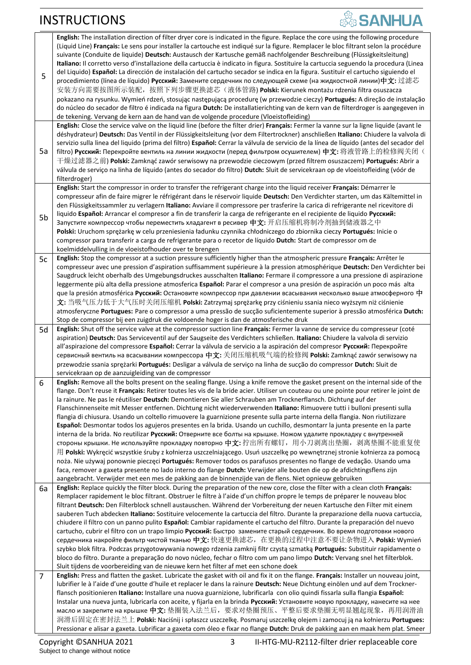|    | English: The installation direction of filter dryer core is indicated in the figure. Replace the core using the following procedure                                                                                                                                |
|----|--------------------------------------------------------------------------------------------------------------------------------------------------------------------------------------------------------------------------------------------------------------------|
|    | (Liquid Line) Français: Le sens pour installer la cartouche est indiqué sur la figure. Remplacer le bloc filtrant selon la procédure                                                                                                                               |
|    | suivante (Conduite de liquide) Deutsch: Austausch der Kartusche gemäß nachfolgender Beschreibung (Flüssigkeitsleitung)                                                                                                                                             |
|    | Italiano: Il corretto verso d'installazione della cartuccia è indicato in figura. Sostituire la cartuccia seguendo la procedura (Linea                                                                                                                             |
|    |                                                                                                                                                                                                                                                                    |
| 5  | del Liquido) Español: La dirección de instalación del cartucho secador se indica en la figura. Sustituir el cartucho siguiendo el                                                                                                                                  |
|    | procedimiento (línea de líquido) Русский: Замените сердечник по следующей схеме (на жидкостной линии)中文: 过滤芯                                                                                                                                                       |
|    | 安装方向需要按图所示装配,按照下列步骤更换滤芯(液体管路) Polski: Kierunek montażu rdzenia filtra osuszacza                                                                                                                                                                                    |
|    | pokazano na rysunku. Wymień rdzeń, stosując następującą procedurę (w przewodzie cieczy) Portugués: A direção de instalação                                                                                                                                         |
|    |                                                                                                                                                                                                                                                                    |
|    | do núcleo do secador de filtro é indicada na figura Dutch: De installatierichting van de kern van de filterdroger is aangegeven in                                                                                                                                 |
|    | de tekening. Vervang de kern aan de hand van de volgende procedure (Vloeistofleiding)                                                                                                                                                                              |
|    | English: Close the service valve on the liquid line (before the filter drier) Français: Fermer la vanne sur la ligne liquide (avant le                                                                                                                             |
|    | déshydrateur) Deutsch: Das Ventil in der Flüssigkeitsleitung (vor dem Filtertrockner) anschließen Italiano: Chiudere la valvola di                                                                                                                                 |
|    | servizio sulla linea del liquido (prima del filtro) Español: Cerrar la válvula de servicio de la línea de líquido (antes del secador del                                                                                                                           |
|    |                                                                                                                                                                                                                                                                    |
| 5a | filtro) <b>Русский:</b> Перекройте вентиль на линии жидкости (перед фильтром осушителем) 中文: 将液管路上的检修阀关闭(                                                                                                                                                          |
|    | 干燥过滤器之前) <b>Polski:</b> Zamknąć zawór serwisowy na przewodzie cieczowym (przed filtrem osuszaczem) <b>Portugués:</b> Abrir a                                                                                                                                       |
|    | válvula de serviço na linha de líquido (antes do secador do filtro) Dutch: Sluit de servicekraan op de vloeistofleiding (vóór de                                                                                                                                   |
|    | filterdroger)                                                                                                                                                                                                                                                      |
|    |                                                                                                                                                                                                                                                                    |
|    | English: Start the compressor in order to transfer the refrigerant charge into the liquid receiver Français: Démarrer le                                                                                                                                           |
|    | compresseur afin de faire migrer le réfrigérant dans le réservoir liquide Deutsch: Den Verdichter starten, um das Kältemittel in                                                                                                                                   |
|    | den Flüssigkeitssammler zu verlagern Italiano: Avviare il compressore per trasferire la carica di refrigerante nel ricevitore di                                                                                                                                   |
|    | liquido Español: Arrancar el compresor a fin de transferir la carga de refrigerante en el recipiente de liquido Русский:                                                                                                                                           |
| 5b |                                                                                                                                                                                                                                                                    |
|    | Запустите компрессор чтобы переместить хладагент в ресивер 中文: 开启压缩机将制冷剂抽到储液器之中                                                                                                                                                                                    |
|    | Polski: Uruchom sprężarkę w celu przeniesienia ładunku czynnika chłodniczego do zbiornika cieczy Portugués: Inicie o                                                                                                                                               |
|    | compressor para transferir a carga de refrigerante para o recetor de líquido Dutch: Start de compressor om de                                                                                                                                                      |
|    | koelmiddelvulling in de vloeistofhouder over te brengen                                                                                                                                                                                                            |
|    | English: Stop the compressor at a suction pressure sufficiently higher than the atmospheric pressure Français: Arrêter le                                                                                                                                          |
| 5c |                                                                                                                                                                                                                                                                    |
|    | compresseur avec une pression d'aspiration suffisamment supérieure à la pression atmosphérique Deutsch: Den Verdichter bei                                                                                                                                         |
|    | Saugdruck leicht oberhalb des Umgebungsdruckes ausschalten Italiano: Fermare il compressore a una pressione di aspirazione                                                                                                                                         |
|    | leggermente più alta della pressione atmosferica Español: Parar el compresor a una presión de aspiración un poco más alta                                                                                                                                          |
|    | que la presión atmosférica Русский: Остановите компрессор при давлении всасывания несколько выше атмосферного 中                                                                                                                                                    |
|    | 文: 当吸气压力低于大气压时关闭压缩机 P <b>olski:</b> Zatrzymaj sprężarkę przy ciśnieniu ssania nieco wyższym niż ciśnienie                                                                                                                                                          |
|    |                                                                                                                                                                                                                                                                    |
|    | atmosferyczne Portugues: Pare o compressor a uma pressão de sucção suficientemente superior à pressão atmosférica Dutch:                                                                                                                                           |
|    | Stop de compressor bij een zuigdruk die voldoende hoger is dan de atmosferische druk                                                                                                                                                                               |
| 5d | English: Shut off the service valve at the compressor suction line Français: Fermer la vanne de service du compresseur (coté                                                                                                                                       |
|    | aspiration) Deutsch: Das Serviceventil auf der Saugseite des Verdichters schließen. Italiano: Chiudere la valvola di servizio                                                                                                                                      |
|    | all'aspirazione del compressore Español: Cerrar la válvula de servicio a la aspiración del compresor Русский: Перекройте                                                                                                                                           |
|    |                                                                                                                                                                                                                                                                    |
|    | сервисный вентиль на всасывании компрессора 中文: 关闭压缩机吸气端的检修阀 Polski: Zamknąć zawór serwisowy na                                                                                                                                                                    |
|    | przewodzie ssania sprężarki Portugués: Desligar a válvula de serviço na linha de sucção do compressor Dutch: Sluit de                                                                                                                                              |
|    | servicekraan op de aanzuigleiding van de compressor                                                                                                                                                                                                                |
| 6  | English: Remove all the bolts present on the sealing flange. Using a knife remove the gasket present on the internal side of the                                                                                                                                   |
|    | flange. Don't reuse it Français: Retirer toutes les vis de la bride acier. Utiliser un couteau ou une pointe pour retirer le joint de                                                                                                                              |
|    |                                                                                                                                                                                                                                                                    |
|    | la rainure. Ne pas le réutiliser Deutsch: Demontieren Sie aller Schrauben am Trocknerflansch. Dichtung auf der                                                                                                                                                     |
|    |                                                                                                                                                                                                                                                                    |
|    | Flanschinnenseite mit Messer entfernen. Dichtung nicht wiederverwenden Italiano: Rimuovere tutti i bulloni presenti sulla                                                                                                                                          |
|    | flangia di chiusura. Usando un coltello rimuovere la guarnizione presente sulla parte interna della flangia. Non riutilizzare                                                                                                                                      |
|    |                                                                                                                                                                                                                                                                    |
|    | Español: Desmontar todos los agujeros presentes en la brida. Usando un cuchillo, desmontarr la junta presente en la parte                                                                                                                                          |
|    | interna de la brida. No reutilizar Русский: Отверните все болты на крышке. Ножом удалите прокладку с внутренней                                                                                                                                                    |
|    | стороны крышки. Не используйте прокладку повторно 中文: 拧出所有螺钉,用小刀剥离出垫圈,剥离垫圈不能重复使                                                                                                                                                                                    |
|    | 用 Polski: Wykręcić wszystkie śruby z kołnierza uszczelniającego. Usuń uszczelkę po wewnętrznej stronie kołnierza za pomocą                                                                                                                                         |
|    | noża. Nie używaj ponownie pieczęci Portugués: Remover todos os parafusos presentes no flange de vedação. Usando uma                                                                                                                                                |
|    |                                                                                                                                                                                                                                                                    |
|    | faca, remover a gaxeta presente no lado interno do flange Dutch: Verwijder alle bouten die op de afdichtingsflens zijn                                                                                                                                             |
|    | aangebracht. Verwijder met een mes de pakking aan de binnenzijde van de flens. Niet opnieuw gebruiken                                                                                                                                                              |
| 6a | English: Replace quickly the filter block. During the preparation of the new core, close the filter with a clean cloth Français:                                                                                                                                   |
|    | Remplacer rapidement le bloc filtrant. Obstruer le filtre à l'aide d'un chiffon propre le temps de préparer le nouveau bloc                                                                                                                                        |
|    | filtrant Deutsch: Den Filterblock schnell austauschen. Während der Vorbereitung der neuen Kartusche den Filter mit einem                                                                                                                                           |
|    |                                                                                                                                                                                                                                                                    |
|    | sauberen Tuch abdecken Italiano: Sostituire velocemente la cartuccia del filtro. Durante la preparazione della nuova cartuccia,                                                                                                                                    |
|    | chiudere il filtro con un panno pulito Español: Cambiar rapidamente el cartucho del filtro. Durante la preparación del nuevo                                                                                                                                       |
|    | cartucho, cubrir el filtro con un trapo limpio Русский: Быстро замените старый сердечник. Во время подготовки нового                                                                                                                                               |
|    | сердечника накройте фильтр чистой тканью 中文: 快速更换滤芯,在更换的过程中注意不要让杂物进入 Polski: Wymień                                                                                                                                                                                |
|    | szybko blok filtra. Podczas przygotowywania nowego rdzenia zamknij filtr czystą szmatką Portugués: Substituir rapidamente o                                                                                                                                        |
|    | bloco do filtro. Durante a preparação do novo núcleo, fechar o filtro com um pano limpo Dutch: Vervang snel het filterblok.                                                                                                                                        |
|    |                                                                                                                                                                                                                                                                    |
|    | Sluit tijdens de voorbereiding van de nieuwe kern het filter af met een schone doek                                                                                                                                                                                |
| 7  | English: Press and flatten the gasket. Lubricate the gasket with oil and fix it on the flange. Français: Installer un nouveau joint,                                                                                                                               |
|    | lubrifier le à l'aide d'une goutte d'huile et replacer le dans la rainure Deutsch: Neue Dichtung einölen und auf dem Trockner-                                                                                                                                     |
|    | flansch positionieren Italiano: Installare una nuova guarnizione, lubrificarla con olio quindi fissarla sulla flangia Español:                                                                                                                                     |
|    | Instalar una nueva junta, lubricarla con aceite, y fijarla en la brinda Русский: Установите новую прокладку, нанесите на нее                                                                                                                                       |
|    |                                                                                                                                                                                                                                                                    |
|    | масло и закрепите на крышке 中文: 垫圈装入法兰后,要求对垫圈预压、平整后要求垫圈无明显翘起现象,再用润滑油                                                                                                                                                                                               |
|    | 润滑后固定在密封法兰上 <b>Polski:</b> Naciśnij i spłaszcz uszczelkę. Posmaruj uszczelkę olejem i zamocuj ją na kołnierzu <b>Portugues:</b><br>Pressionar e alisar a gaxeta. Lubrificar a gaxeta com óleo e fixar no flange Dutch: Druk de pakking aan en maak hem plat. Smeer |

3 II-HTG-MU-R2112-filter drier replaceable core

**SANHUA**